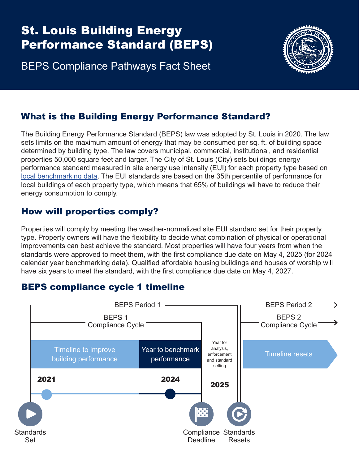# St. Louis Building Energy Performance Standard (BEPS)

BEPS Compliance Pathways Fact Sheet



### What is the Building Energy Performance Standard?

The Building Energy Performance Standard (BEPS) law was adopted by St. Louis in 2020. The law sets limits on the maximum amount of energy that may be consumed per sq. ft. of building space determined by building type. The law covers municipal, commercial, institutional, and residential properties 50,000 square feet and larger. The City of St. Louis (City) sets buildings energy performance standard measured in site energy use intensity (EUI) for each property type based on [local benchmarking data](https://www.stlbenchmarking.com/). The EUI standards are based on the 35th percentile of performance for local buildings of each property type, which means that 65% of buildings wil have to reduce their energy consumption to comply.

#### How will properties comply?

Properties will comply by meeting the weather-normalized site EUI standard set for their property type. Property owners will have the flexibility to decide what combination of physical or operational improvements can best achieve the standard. Most properties will have four years from when the standards were approved to meet them, with the first compliance due date on May 4, 2025 (for 2024 calendar year benchmarking data). Qualified affordable housing buildings and houses of worship will have six years to meet the standard, with the first compliance due date on May 4, 2027.

## BEPS compliance cycle 1 timeline